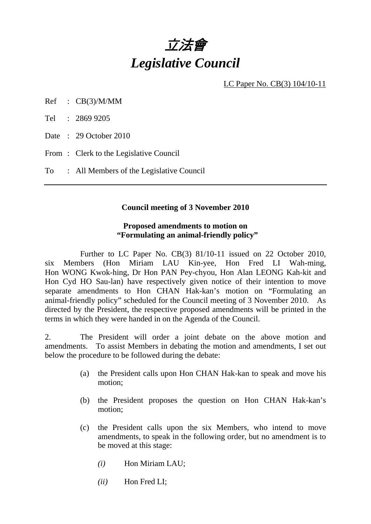

LC Paper No. CB(3) 104/10-11

Ref : CB(3)/M/MM

Tel : 2869 9205

Date: 29 October 2010

From: Clerk to the Legislative Council

To : All Members of the Legislative Council

#### **Council meeting of 3 November 2010**

#### **Proposed amendments to motion on "Formulating an animal-friendly policy"**

 Further to LC Paper No. CB(3) 81/10-11 issued on 22 October 2010, six Members (Hon Miriam LAU Kin-yee, Hon Fred LI Wah-ming, Hon WONG Kwok-hing, Dr Hon PAN Pey-chyou, Hon Alan LEONG Kah-kit and Hon Cyd HO Sau-lan) have respectively given notice of their intention to move separate amendments to Hon CHAN Hak-kan's motion on "Formulating an animal-friendly policy" scheduled for the Council meeting of 3 November 2010. As directed by the President, the respective proposed amendments will be printed in the terms in which they were handed in on the Agenda of the Council.

2. The President will order a joint debate on the above motion and amendments. To assist Members in debating the motion and amendments, I set out below the procedure to be followed during the debate:

- (a) the President calls upon Hon CHAN Hak-kan to speak and move his motion;
- (b) the President proposes the question on Hon CHAN Hak-kan's motion;
- (c) the President calls upon the six Members, who intend to move amendments, to speak in the following order, but no amendment is to be moved at this stage:
	- *(i)* Hon Miriam LAU;
	- *(ii)* Hon Fred LI;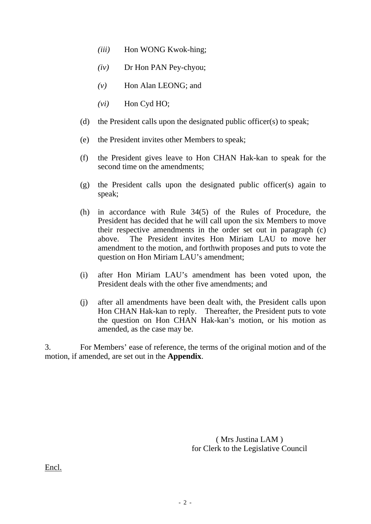- *(iii)* Hon WONG Kwok-hing;
- *(iv)* Dr Hon PAN Pey-chyou;
- *(v)* Hon Alan LEONG; and
- *(vi)* Hon Cyd HO;
- (d) the President calls upon the designated public officer(s) to speak;
- (e) the President invites other Members to speak;
- (f) the President gives leave to Hon CHAN Hak-kan to speak for the second time on the amendments;
- (g) the President calls upon the designated public officer(s) again to speak;
- (h) in accordance with Rule 34(5) of the Rules of Procedure, the President has decided that he will call upon the six Members to move their respective amendments in the order set out in paragraph (c) above. The President invites Hon Miriam LAU to move her amendment to the motion, and forthwith proposes and puts to vote the question on Hon Miriam LAU's amendment;
- (i) after Hon Miriam LAU's amendment has been voted upon, the President deals with the other five amendments; and
- (j) after all amendments have been dealt with, the President calls upon Hon CHAN Hak-kan to reply. Thereafter, the President puts to vote the question on Hon CHAN Hak-kan's motion, or his motion as amended, as the case may be.

3. For Members' ease of reference, the terms of the original motion and of the motion, if amended, are set out in the **Appendix**.

> ( Mrs Justina LAM ) for Clerk to the Legislative Council

Encl.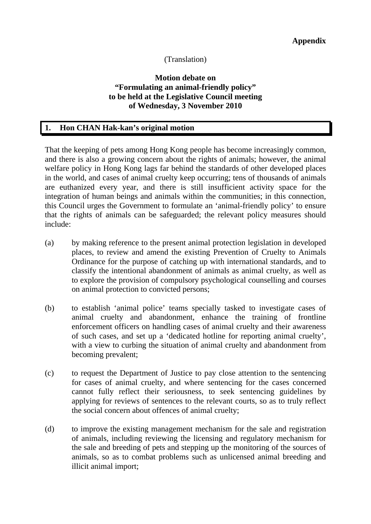# (Translation)

# **Motion debate on "Formulating an animal-friendly policy" to be held at the Legislative Council meeting of Wednesday, 3 November 2010**

### **1. Hon CHAN Hak-kan's original motion**

That the keeping of pets among Hong Kong people has become increasingly common, and there is also a growing concern about the rights of animals; however, the animal welfare policy in Hong Kong lags far behind the standards of other developed places in the world, and cases of animal cruelty keep occurring; tens of thousands of animals are euthanized every year, and there is still insufficient activity space for the integration of human beings and animals within the communities; in this connection, this Council urges the Government to formulate an 'animal-friendly policy' to ensure that the rights of animals can be safeguarded; the relevant policy measures should include:

- (a) by making reference to the present animal protection legislation in developed places, to review and amend the existing Prevention of Cruelty to Animals Ordinance for the purpose of catching up with international standards, and to classify the intentional abandonment of animals as animal cruelty, as well as to explore the provision of compulsory psychological counselling and courses on animal protection to convicted persons;
- (b) to establish 'animal police' teams specially tasked to investigate cases of animal cruelty and abandonment, enhance the training of frontline enforcement officers on handling cases of animal cruelty and their awareness of such cases, and set up a 'dedicated hotline for reporting animal cruelty', with a view to curbing the situation of animal cruelty and abandonment from becoming prevalent;
- (c) to request the Department of Justice to pay close attention to the sentencing for cases of animal cruelty, and where sentencing for the cases concerned cannot fully reflect their seriousness, to seek sentencing guidelines by applying for reviews of sentences to the relevant courts, so as to truly reflect the social concern about offences of animal cruelty;
- (d) to improve the existing management mechanism for the sale and registration of animals, including reviewing the licensing and regulatory mechanism for the sale and breeding of pets and stepping up the monitoring of the sources of animals, so as to combat problems such as unlicensed animal breeding and illicit animal import;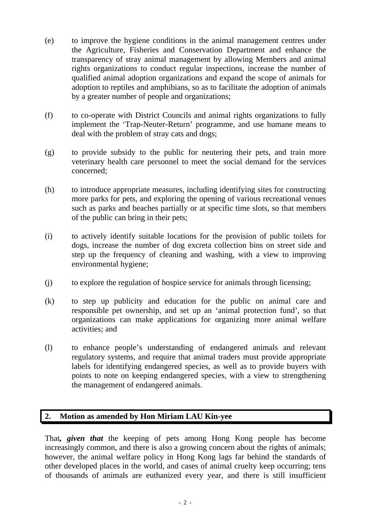- (e) to improve the hygiene conditions in the animal management centres under the Agriculture, Fisheries and Conservation Department and enhance the transparency of stray animal management by allowing Members and animal rights organizations to conduct regular inspections, increase the number of qualified animal adoption organizations and expand the scope of animals for adoption to reptiles and amphibians, so as to facilitate the adoption of animals by a greater number of people and organizations;
- (f) to co-operate with District Councils and animal rights organizations to fully implement the 'Trap-Neuter-Return' programme, and use humane means to deal with the problem of stray cats and dogs;
- (g) to provide subsidy to the public for neutering their pets, and train more veterinary health care personnel to meet the social demand for the services concerned;
- (h) to introduce appropriate measures, including identifying sites for constructing more parks for pets, and exploring the opening of various recreational venues such as parks and beaches partially or at specific time slots, so that members of the public can bring in their pets;
- (i) to actively identify suitable locations for the provision of public toilets for dogs, increase the number of dog excreta collection bins on street side and step up the frequency of cleaning and washing, with a view to improving environmental hygiene;
- (j) to explore the regulation of hospice service for animals through licensing;
- (k) to step up publicity and education for the public on animal care and responsible pet ownership, and set up an 'animal protection fund', so that organizations can make applications for organizing more animal welfare activities; and
- (l) to enhance people's understanding of endangered animals and relevant regulatory systems, and require that animal traders must provide appropriate labels for identifying endangered species, as well as to provide buyers with points to note on keeping endangered species, with a view to strengthening the management of endangered animals.

# **2. Motion as amended by Hon Miriam LAU Kin-yee**

That*, given that* the keeping of pets among Hong Kong people has become increasingly common, and there is also a growing concern about the rights of animals; however, the animal welfare policy in Hong Kong lags far behind the standards of other developed places in the world, and cases of animal cruelty keep occurring; tens of thousands of animals are euthanized every year, and there is still insufficient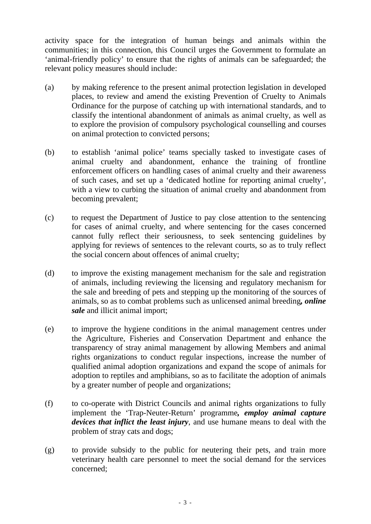activity space for the integration of human beings and animals within the communities; in this connection, this Council urges the Government to formulate an 'animal-friendly policy' to ensure that the rights of animals can be safeguarded; the relevant policy measures should include:

- (a) by making reference to the present animal protection legislation in developed places, to review and amend the existing Prevention of Cruelty to Animals Ordinance for the purpose of catching up with international standards, and to classify the intentional abandonment of animals as animal cruelty, as well as to explore the provision of compulsory psychological counselling and courses on animal protection to convicted persons;
- (b) to establish 'animal police' teams specially tasked to investigate cases of animal cruelty and abandonment, enhance the training of frontline enforcement officers on handling cases of animal cruelty and their awareness of such cases, and set up a 'dedicated hotline for reporting animal cruelty', with a view to curbing the situation of animal cruelty and abandonment from becoming prevalent;
- (c) to request the Department of Justice to pay close attention to the sentencing for cases of animal cruelty, and where sentencing for the cases concerned cannot fully reflect their seriousness, to seek sentencing guidelines by applying for reviews of sentences to the relevant courts, so as to truly reflect the social concern about offences of animal cruelty;
- (d) to improve the existing management mechanism for the sale and registration of animals, including reviewing the licensing and regulatory mechanism for the sale and breeding of pets and stepping up the monitoring of the sources of animals, so as to combat problems such as unlicensed animal breeding*, online sale* and illicit animal import;
- (e) to improve the hygiene conditions in the animal management centres under the Agriculture, Fisheries and Conservation Department and enhance the transparency of stray animal management by allowing Members and animal rights organizations to conduct regular inspections, increase the number of qualified animal adoption organizations and expand the scope of animals for adoption to reptiles and amphibians, so as to facilitate the adoption of animals by a greater number of people and organizations;
- (f) to co-operate with District Councils and animal rights organizations to fully implement the 'Trap-Neuter-Return' programme*, employ animal capture devices that inflict the least injury*, and use humane means to deal with the problem of stray cats and dogs;
- (g) to provide subsidy to the public for neutering their pets, and train more veterinary health care personnel to meet the social demand for the services concerned;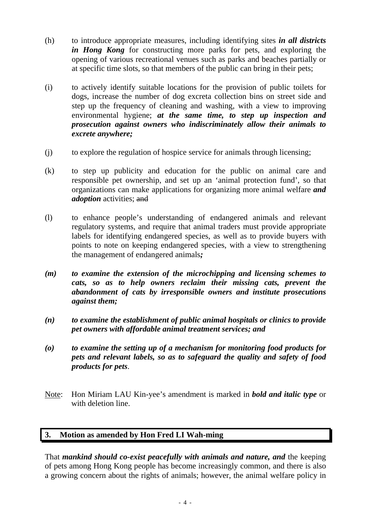- (h) to introduce appropriate measures, including identifying sites *in all districts in Hong Kong* for constructing more parks for pets, and exploring the opening of various recreational venues such as parks and beaches partially or at specific time slots, so that members of the public can bring in their pets;
- (i) to actively identify suitable locations for the provision of public toilets for dogs, increase the number of dog excreta collection bins on street side and step up the frequency of cleaning and washing, with a view to improving environmental hygiene; *at the same time, to step up inspection and prosecution against owners who indiscriminately allow their animals to excrete anywhere;*
- (j) to explore the regulation of hospice service for animals through licensing;
- (k) to step up publicity and education for the public on animal care and responsible pet ownership, and set up an 'animal protection fund', so that organizations can make applications for organizing more animal welfare *and adoption* activities; and
- (l) to enhance people's understanding of endangered animals and relevant regulatory systems, and require that animal traders must provide appropriate labels for identifying endangered species, as well as to provide buyers with points to note on keeping endangered species, with a view to strengthening the management of endangered animals*;*
- *(m) to examine the extension of the microchipping and licensing schemes to cats, so as to help owners reclaim their missing cats, prevent the abandonment of cats by irresponsible owners and institute prosecutions against them;*
- *(n) to examine the establishment of public animal hospitals or clinics to provide pet owners with affordable animal treatment services; and*
- *(o) to examine the setting up of a mechanism for monitoring food products for pets and relevant labels, so as to safeguard the quality and safety of food products for pets*.
- Note: Hon Miriam LAU Kin-yee's amendment is marked in *bold and italic type* or with deletion line.

# **3. Motion as amended by Hon Fred LI Wah-ming**

That *mankind should co-exist peacefully with animals and nature, and* the keeping of pets among Hong Kong people has become increasingly common, and there is also a growing concern about the rights of animals; however, the animal welfare policy in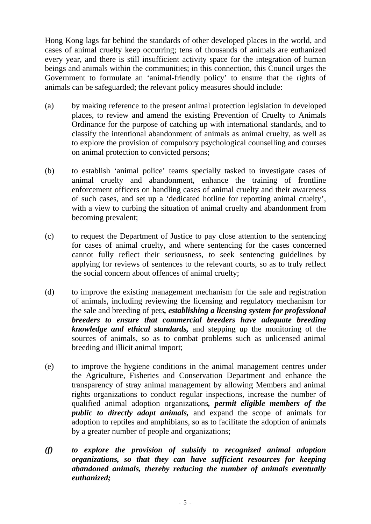Hong Kong lags far behind the standards of other developed places in the world, and cases of animal cruelty keep occurring; tens of thousands of animals are euthanized every year, and there is still insufficient activity space for the integration of human beings and animals within the communities; in this connection, this Council urges the Government to formulate an 'animal-friendly policy' to ensure that the rights of animals can be safeguarded; the relevant policy measures should include:

- (a) by making reference to the present animal protection legislation in developed places, to review and amend the existing Prevention of Cruelty to Animals Ordinance for the purpose of catching up with international standards, and to classify the intentional abandonment of animals as animal cruelty, as well as to explore the provision of compulsory psychological counselling and courses on animal protection to convicted persons;
- (b) to establish 'animal police' teams specially tasked to investigate cases of animal cruelty and abandonment, enhance the training of frontline enforcement officers on handling cases of animal cruelty and their awareness of such cases, and set up a 'dedicated hotline for reporting animal cruelty', with a view to curbing the situation of animal cruelty and abandonment from becoming prevalent;
- (c) to request the Department of Justice to pay close attention to the sentencing for cases of animal cruelty, and where sentencing for the cases concerned cannot fully reflect their seriousness, to seek sentencing guidelines by applying for reviews of sentences to the relevant courts, so as to truly reflect the social concern about offences of animal cruelty;
- (d) to improve the existing management mechanism for the sale and registration of animals, including reviewing the licensing and regulatory mechanism for the sale and breeding of pets*, establishing a licensing system for professional breeders to ensure that commercial breeders have adequate breeding knowledge and ethical standards,* and stepping up the monitoring of the sources of animals, so as to combat problems such as unlicensed animal breeding and illicit animal import;
- (e) to improve the hygiene conditions in the animal management centres under the Agriculture, Fisheries and Conservation Department and enhance the transparency of stray animal management by allowing Members and animal rights organizations to conduct regular inspections, increase the number of qualified animal adoption organizations*, permit eligible members of the public to directly adopt animals,* and expand the scope of animals for adoption to reptiles and amphibians, so as to facilitate the adoption of animals by a greater number of people and organizations;
- *(f) to explore the provision of subsidy to recognized animal adoption organizations, so that they can have sufficient resources for keeping abandoned animals, thereby reducing the number of animals eventually euthanized;*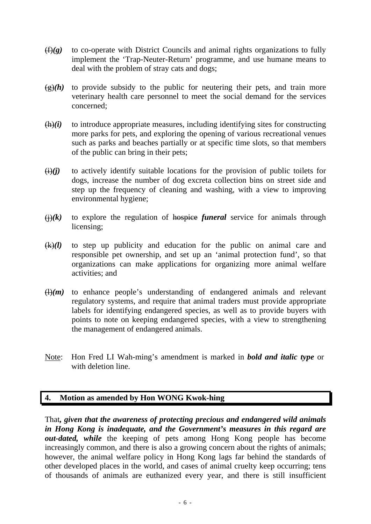- (f)*(g)* to co-operate with District Councils and animal rights organizations to fully implement the 'Trap-Neuter-Return' programme, and use humane means to deal with the problem of stray cats and dogs;
- $\frac{g(x)}{h}$  to provide subsidy to the public for neutering their pets, and train more veterinary health care personnel to meet the social demand for the services concerned;
- $(h)(i)$  to introduce appropriate measures, including identifying sites for constructing more parks for pets, and exploring the opening of various recreational venues such as parks and beaches partially or at specific time slots, so that members of the public can bring in their pets;
- $(i)(j)$  to actively identify suitable locations for the provision of public toilets for dogs, increase the number of dog excreta collection bins on street side and step up the frequency of cleaning and washing, with a view to improving environmental hygiene;
- $\overrightarrow{()}$  to explore the regulation of hospice *funeral* service for animals through licensing;
- (k)*(l)* to step up publicity and education for the public on animal care and responsible pet ownership, and set up an 'animal protection fund', so that organizations can make applications for organizing more animal welfare activities; and
- $\left(\frac{1}{m}\right)$  to enhance people's understanding of endangered animals and relevant regulatory systems, and require that animal traders must provide appropriate labels for identifying endangered species, as well as to provide buyers with points to note on keeping endangered species, with a view to strengthening the management of endangered animals.
- Note: Hon Fred LI Wah-ming's amendment is marked in *bold and italic type* or with deletion line.

# **4. Motion as amended by Hon WONG Kwok-hing**

That*, given that the awareness of protecting precious and endangered wild animals in Hong Kong is inadequate, and the Government's measures in this regard are out-dated, while* the keeping of pets among Hong Kong people has become increasingly common, and there is also a growing concern about the rights of animals; however, the animal welfare policy in Hong Kong lags far behind the standards of other developed places in the world, and cases of animal cruelty keep occurring; tens of thousands of animals are euthanized every year, and there is still insufficient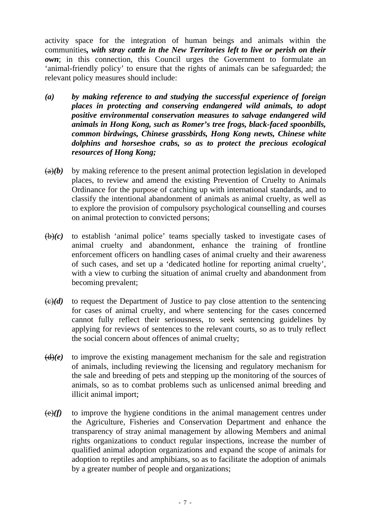activity space for the integration of human beings and animals within the communities*, with stray cattle in the New Territories left to live or perish on their own*; in this connection, this Council urges the Government to formulate an 'animal-friendly policy' to ensure that the rights of animals can be safeguarded; the relevant policy measures should include:

- *(a) by making reference to and studying the successful experience of foreign places in protecting and conserving endangered wild animals, to adopt positive environmental conservation measures to salvage endangered wild animals in Hong Kong, such as Romer's tree frogs, black-faced spoonbills, common birdwings, Chinese grassbirds, Hong Kong newts, Chinese white dolphins and horseshoe crabs, so as to protect the precious ecological resources of Hong Kong;*
- $(a)(b)$  by making reference to the present animal protection legislation in developed places, to review and amend the existing Prevention of Cruelty to Animals Ordinance for the purpose of catching up with international standards, and to classify the intentional abandonment of animals as animal cruelty, as well as to explore the provision of compulsory psychological counselling and courses on animal protection to convicted persons;
- $(\theta)(c)$  to establish 'animal police' teams specially tasked to investigate cases of animal cruelty and abandonment, enhance the training of frontline enforcement officers on handling cases of animal cruelty and their awareness of such cases, and set up a 'dedicated hotline for reporting animal cruelty', with a view to curbing the situation of animal cruelty and abandonment from becoming prevalent;
- $\left(\frac{c}{c}\right)(d)$  to request the Department of Justice to pay close attention to the sentencing for cases of animal cruelty, and where sentencing for the cases concerned cannot fully reflect their seriousness, to seek sentencing guidelines by applying for reviews of sentences to the relevant courts, so as to truly reflect the social concern about offences of animal cruelty;
- $(d)(e)$  to improve the existing management mechanism for the sale and registration of animals, including reviewing the licensing and regulatory mechanism for the sale and breeding of pets and stepping up the monitoring of the sources of animals, so as to combat problems such as unlicensed animal breeding and illicit animal import;
- $\left(\frac{e}{f}\right)$  to improve the hygiene conditions in the animal management centres under the Agriculture, Fisheries and Conservation Department and enhance the transparency of stray animal management by allowing Members and animal rights organizations to conduct regular inspections, increase the number of qualified animal adoption organizations and expand the scope of animals for adoption to reptiles and amphibians, so as to facilitate the adoption of animals by a greater number of people and organizations;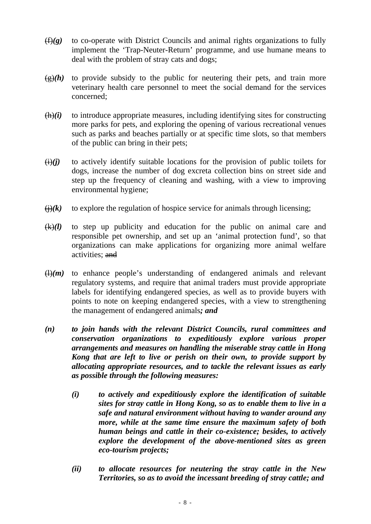- (f)*(g)* to co-operate with District Councils and animal rights organizations to fully implement the 'Trap-Neuter-Return' programme, and use humane means to deal with the problem of stray cats and dogs;
- $\frac{f(x)}{g(h)}$  to provide subsidy to the public for neutering their pets, and train more veterinary health care personnel to meet the social demand for the services concerned;
- $(h)(i)$  to introduce appropriate measures, including identifying sites for constructing more parks for pets, and exploring the opening of various recreational venues such as parks and beaches partially or at specific time slots, so that members of the public can bring in their pets;
- $(i)(j)$  to actively identify suitable locations for the provision of public toilets for dogs, increase the number of dog excreta collection bins on street side and step up the frequency of cleaning and washing, with a view to improving environmental hygiene;
- $\Theta(k)$  to explore the regulation of hospice service for animals through licensing;
- (k)*(l)* to step up publicity and education for the public on animal care and responsible pet ownership, and set up an 'animal protection fund', so that organizations can make applications for organizing more animal welfare activities; and
- $\left(\frac{1}{m}\right)$  to enhance people's understanding of endangered animals and relevant regulatory systems, and require that animal traders must provide appropriate labels for identifying endangered species, as well as to provide buyers with points to note on keeping endangered species, with a view to strengthening the management of endangered animals*; and*
- *(n) to join hands with the relevant District Councils, rural committees and conservation organizations to expeditiously explore various proper arrangements and measures on handling the miserable stray cattle in Hong Kong that are left to live or perish on their own, to provide support by allocating appropriate resources, and to tackle the relevant issues as early as possible through the following measures:* 
	- *(i) to actively and expeditiously explore the identification of suitable sites for stray cattle in Hong Kong, so as to enable them to live in a safe and natural environment without having to wander around any more, while at the same time ensure the maximum safety of both human beings and cattle in their co-existence; besides, to actively explore the development of the above-mentioned sites as green eco-tourism projects;*
	- *(ii) to allocate resources for neutering the stray cattle in the New Territories, so as to avoid the incessant breeding of stray cattle; and*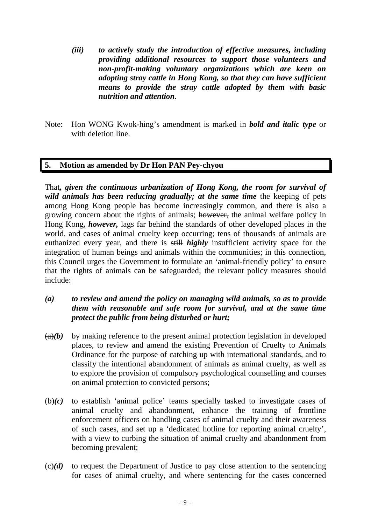- *(iii) to actively study the introduction of effective measures, including providing additional resources to support those volunteers and non-profit-making voluntary organizations which are keen on adopting stray cattle in Hong Kong, so that they can have sufficient means to provide the stray cattle adopted by them with basic nutrition and attention*.
- Note: Hon WONG Kwok-hing's amendment is marked in *bold and italic type* or with deletion line.

### **5. Motion as amended by Dr Hon PAN Pey-chyou**

That*, given the continuous urbanization of Hong Kong, the room for survival of wild animals has been reducing gradually; at the same time the keeping of pets* among Hong Kong people has become increasingly common, and there is also a growing concern about the rights of animals; however, the animal welfare policy in Hong Kong*, however,* lags far behind the standards of other developed places in the world, and cases of animal cruelty keep occurring; tens of thousands of animals are euthanized every year, and there is still *highly* insufficient activity space for the integration of human beings and animals within the communities; in this connection, this Council urges the Government to formulate an 'animal-friendly policy' to ensure that the rights of animals can be safeguarded; the relevant policy measures should include:

# *(a) to review and amend the policy on managing wild animals, so as to provide them with reasonable and safe room for survival, and at the same time protect the public from being disturbed or hurt;*

- $(a)(b)$  by making reference to the present animal protection legislation in developed places, to review and amend the existing Prevention of Cruelty to Animals Ordinance for the purpose of catching up with international standards, and to classify the intentional abandonment of animals as animal cruelty, as well as to explore the provision of compulsory psychological counselling and courses on animal protection to convicted persons;
- $(b)(c)$  to establish 'animal police' teams specially tasked to investigate cases of animal cruelty and abandonment, enhance the training of frontline enforcement officers on handling cases of animal cruelty and their awareness of such cases, and set up a 'dedicated hotline for reporting animal cruelty', with a view to curbing the situation of animal cruelty and abandonment from becoming prevalent;
- $\left(\frac{c}{c}\right)(d)$  to request the Department of Justice to pay close attention to the sentencing for cases of animal cruelty, and where sentencing for the cases concerned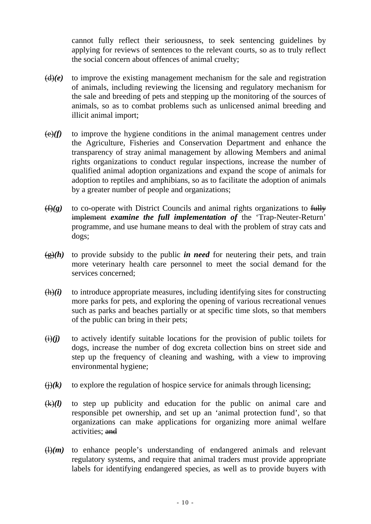cannot fully reflect their seriousness, to seek sentencing guidelines by applying for reviews of sentences to the relevant courts, so as to truly reflect the social concern about offences of animal cruelty;

- $(d)(e)$  to improve the existing management mechanism for the sale and registration of animals, including reviewing the licensing and regulatory mechanism for the sale and breeding of pets and stepping up the monitoring of the sources of animals, so as to combat problems such as unlicensed animal breeding and illicit animal import;
- $\left(\frac{e}{f}\right)$  to improve the hygiene conditions in the animal management centres under the Agriculture, Fisheries and Conservation Department and enhance the transparency of stray animal management by allowing Members and animal rights organizations to conduct regular inspections, increase the number of qualified animal adoption organizations and expand the scope of animals for adoption to reptiles and amphibians, so as to facilitate the adoption of animals by a greater number of people and organizations;
- (f)*(g)* to co-operate with District Councils and animal rights organizations to fully implement *examine the full implementation of* the 'Trap-Neuter-Return' programme, and use humane means to deal with the problem of stray cats and dogs;
- $\frac{f(x)}{g}(h)$  to provide subsidy to the public *in need* for neutering their pets, and train more veterinary health care personnel to meet the social demand for the services concerned;
- $(h)(i)$  to introduce appropriate measures, including identifying sites for constructing more parks for pets, and exploring the opening of various recreational venues such as parks and beaches partially or at specific time slots, so that members of the public can bring in their pets;
- $\overrightarrow{(ii)}$  to actively identify suitable locations for the provision of public toilets for dogs, increase the number of dog excreta collection bins on street side and step up the frequency of cleaning and washing, with a view to improving environmental hygiene;
- $\Theta(k)$  to explore the regulation of hospice service for animals through licensing;
- $(k)(l)$  to step up publicity and education for the public on animal care and responsible pet ownership, and set up an 'animal protection fund', so that organizations can make applications for organizing more animal welfare activities; and
- $\left(\frac{1}{m}\right)$  to enhance people's understanding of endangered animals and relevant regulatory systems, and require that animal traders must provide appropriate labels for identifying endangered species, as well as to provide buyers with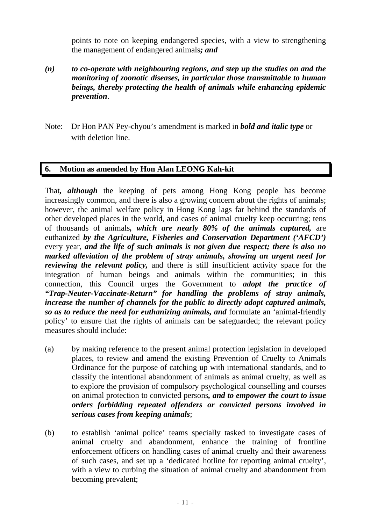points to note on keeping endangered species, with a view to strengthening the management of endangered animals*; and*

- *(n) to co-operate with neighbouring regions, and step up the studies on and the monitoring of zoonotic diseases, in particular those transmittable to human beings, thereby protecting the health of animals while enhancing epidemic prevention*.
- Note: Dr Hon PAN Pey-chyou's amendment is marked in *bold and italic type* or with deletion line.

### **6. Motion as amended by Hon Alan LEONG Kah-kit**

That*, although* the keeping of pets among Hong Kong people has become increasingly common, and there is also a growing concern about the rights of animals; however, the animal welfare policy in Hong Kong lags far behind the standards of other developed places in the world, and cases of animal cruelty keep occurring; tens of thousands of animals*, which are nearly 80% of the animals captured,* are euthanized *by the Agriculture, Fisheries and Conservation Department ('AFCD')* every year, *and the life of such animals is not given due respect; there is also no marked alleviation of the problem of stray animals, showing an urgent need for reviewing the relevant policy*, and there is still insufficient activity space for the integration of human beings and animals within the communities; in this connection, this Council urges the Government to *adopt the practice of "Trap-Neuter-Vaccinate-Return" for handling the problems of stray animals, increase the number of channels for the public to directly adopt captured animals, so as to reduce the need for euthanizing animals, and* formulate an 'animal-friendly policy' to ensure that the rights of animals can be safeguarded; the relevant policy measures should include:

- (a) by making reference to the present animal protection legislation in developed places, to review and amend the existing Prevention of Cruelty to Animals Ordinance for the purpose of catching up with international standards, and to classify the intentional abandonment of animals as animal cruelty, as well as to explore the provision of compulsory psychological counselling and courses on animal protection to convicted persons*, and to empower the court to issue orders forbidding repeated offenders or convicted persons involved in serious cases from keeping animals*;
- (b) to establish 'animal police' teams specially tasked to investigate cases of animal cruelty and abandonment, enhance the training of frontline enforcement officers on handling cases of animal cruelty and their awareness of such cases, and set up a 'dedicated hotline for reporting animal cruelty', with a view to curbing the situation of animal cruelty and abandonment from becoming prevalent;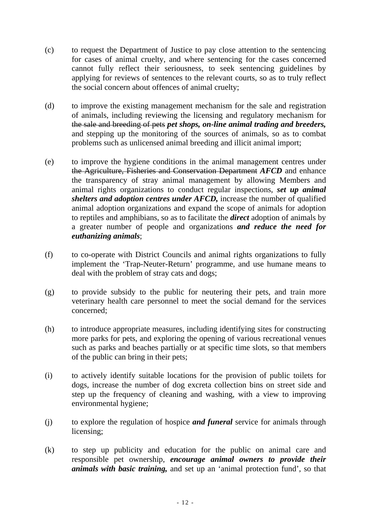- (c) to request the Department of Justice to pay close attention to the sentencing for cases of animal cruelty, and where sentencing for the cases concerned cannot fully reflect their seriousness, to seek sentencing guidelines by applying for reviews of sentences to the relevant courts, so as to truly reflect the social concern about offences of animal cruelty;
- (d) to improve the existing management mechanism for the sale and registration of animals, including reviewing the licensing and regulatory mechanism for the sale and breeding of pets *pet shops, on-line animal trading and breeders,*  and stepping up the monitoring of the sources of animals, so as to combat problems such as unlicensed animal breeding and illicit animal import;
- (e) to improve the hygiene conditions in the animal management centres under the Agriculture, Fisheries and Conservation Department *AFCD* and enhance the transparency of stray animal management by allowing Members and animal rights organizations to conduct regular inspections, *set up animal shelters and adoption centres under AFCD,* increase the number of qualified animal adoption organizations and expand the scope of animals for adoption to reptiles and amphibians, so as to facilitate the *direct* adoption of animals by a greater number of people and organizations *and reduce the need for euthanizing animals*;
- (f) to co-operate with District Councils and animal rights organizations to fully implement the 'Trap-Neuter-Return' programme, and use humane means to deal with the problem of stray cats and dogs;
- (g) to provide subsidy to the public for neutering their pets, and train more veterinary health care personnel to meet the social demand for the services concerned;
- (h) to introduce appropriate measures, including identifying sites for constructing more parks for pets, and exploring the opening of various recreational venues such as parks and beaches partially or at specific time slots, so that members of the public can bring in their pets;
- (i) to actively identify suitable locations for the provision of public toilets for dogs, increase the number of dog excreta collection bins on street side and step up the frequency of cleaning and washing, with a view to improving environmental hygiene;
- (j) to explore the regulation of hospice *and funeral* service for animals through licensing;
- (k) to step up publicity and education for the public on animal care and responsible pet ownership, *encourage animal owners to provide their animals with basic training,* and set up an 'animal protection fund', so that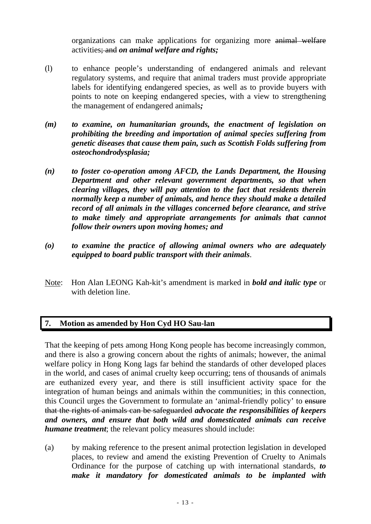organizations can make applications for organizing more animal welfare activities; and *on animal welfare and rights;*

- (l) to enhance people's understanding of endangered animals and relevant regulatory systems, and require that animal traders must provide appropriate labels for identifying endangered species, as well as to provide buyers with points to note on keeping endangered species, with a view to strengthening the management of endangered animals*;*
- *(m) to examine, on humanitarian grounds, the enactment of legislation on prohibiting the breeding and importation of animal species suffering from genetic diseases that cause them pain, such as Scottish Folds suffering from osteochondrodysplasia;*
- *(n) to foster co-operation among AFCD, the Lands Department, the Housing Department and other relevant government departments, so that when clearing villages, they will pay attention to the fact that residents therein normally keep a number of animals, and hence they should make a detailed record of all animals in the villages concerned before clearance, and strive to make timely and appropriate arrangements for animals that cannot follow their owners upon moving homes; and*
- *(o) to examine the practice of allowing animal owners who are adequately equipped to board public transport with their animals*.
- Note: Hon Alan LEONG Kah-kit's amendment is marked in *bold and italic type* or with deletion line.

# **7. Motion as amended by Hon Cyd HO Sau-lan**

That the keeping of pets among Hong Kong people has become increasingly common, and there is also a growing concern about the rights of animals; however, the animal welfare policy in Hong Kong lags far behind the standards of other developed places in the world, and cases of animal cruelty keep occurring; tens of thousands of animals are euthanized every year, and there is still insufficient activity space for the integration of human beings and animals within the communities; in this connection, this Council urges the Government to formulate an 'animal-friendly policy' to ensure that the rights of animals can be safeguarded *advocate the responsibilities of keepers and owners, and ensure that both wild and domesticated animals can receive humane treatment*; the relevant policy measures should include:

(a) by making reference to the present animal protection legislation in developed places, to review and amend the existing Prevention of Cruelty to Animals Ordinance for the purpose of catching up with international standards, *to make it mandatory for domesticated animals to be implanted with*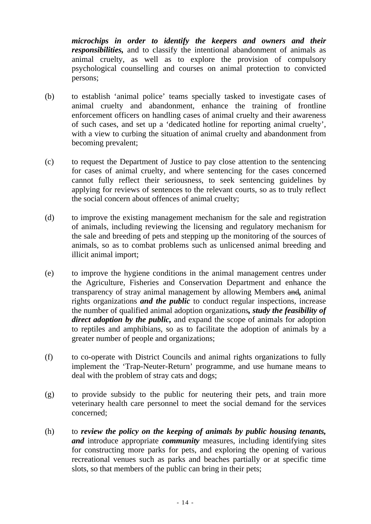*microchips in order to identify the keepers and owners and their responsibilities,* and to classify the intentional abandonment of animals as animal cruelty, as well as to explore the provision of compulsory psychological counselling and courses on animal protection to convicted persons;

- (b) to establish 'animal police' teams specially tasked to investigate cases of animal cruelty and abandonment, enhance the training of frontline enforcement officers on handling cases of animal cruelty and their awareness of such cases, and set up a 'dedicated hotline for reporting animal cruelty', with a view to curbing the situation of animal cruelty and abandonment from becoming prevalent;
- (c) to request the Department of Justice to pay close attention to the sentencing for cases of animal cruelty, and where sentencing for the cases concerned cannot fully reflect their seriousness, to seek sentencing guidelines by applying for reviews of sentences to the relevant courts, so as to truly reflect the social concern about offences of animal cruelty;
- (d) to improve the existing management mechanism for the sale and registration of animals, including reviewing the licensing and regulatory mechanism for the sale and breeding of pets and stepping up the monitoring of the sources of animals, so as to combat problems such as unlicensed animal breeding and illicit animal import;
- (e) to improve the hygiene conditions in the animal management centres under the Agriculture, Fisheries and Conservation Department and enhance the transparency of stray animal management by allowing Members and*,* animal rights organizations *and the public* to conduct regular inspections, increase the number of qualified animal adoption organizations*, study the feasibility of direct adoption by the public,* and expand the scope of animals for adoption to reptiles and amphibians, so as to facilitate the adoption of animals by a greater number of people and organizations;
- (f) to co-operate with District Councils and animal rights organizations to fully implement the 'Trap-Neuter-Return' programme, and use humane means to deal with the problem of stray cats and dogs;
- (g) to provide subsidy to the public for neutering their pets, and train more veterinary health care personnel to meet the social demand for the services concerned;
- (h) to *review the policy on the keeping of animals by public housing tenants, and* introduce appropriate *community* measures, including identifying sites for constructing more parks for pets, and exploring the opening of various recreational venues such as parks and beaches partially or at specific time slots, so that members of the public can bring in their pets;